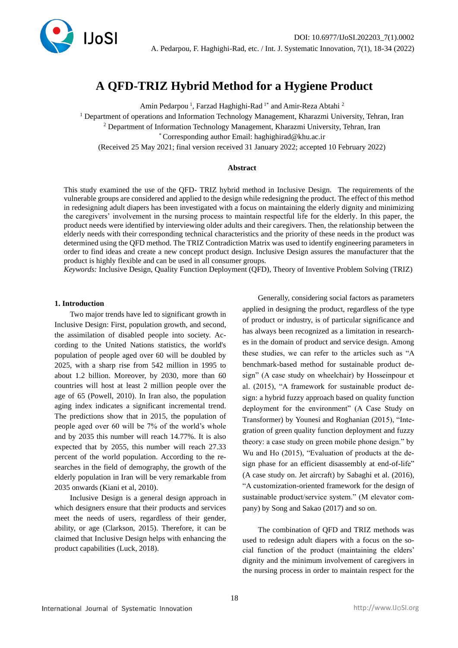

# **A QFD-TRIZ Hybrid Method for a Hygiene Product**

Amin Pedarpou<sup>1</sup>, Farzad Haghighi-Rad<sup>1\*</sup> and Amir-Reza Abtahi<sup>2</sup>

<sup>1</sup> Department of operations and Information Technology Management, Kharazmi University, Tehran, Iran

<sup>2</sup> Department of Information Technology Management, Kharazmi University, Tehran, Iran

\* Corresponding author Email: haghighirad@khu.ac.ir

(Received 25 May 2021; final version received 31 January 2022; accepted 10 February 2022)

#### **Abstract**

This study examined the use of the QFD- TRIZ hybrid method in Inclusive Design. The requirements of the vulnerable groups are considered and applied to the design while redesigning the product. The effect of this method in redesigning adult diapers has been investigated with a focus on maintaining the elderly dignity and minimizing the caregivers' involvement in the nursing process to maintain respectful life for the elderly. In this paper, the product needs were identified by interviewing older adults and their caregivers. Then, the relationship between the elderly needs with their corresponding technical characteristics and the priority of these needs in the product was determined using the QFD method. The TRIZ Contradiction Matrix was used to identify engineering parameters in order to find ideas and create a new concept product design. Inclusive Design assures the manufacturer that the product is highly flexible and can be used in all consumer groups.

*Keywords:* Inclusive Design, Quality Function Deployment (QFD), Theory of Inventive Problem Solving (TRIZ)

#### **1. Introduction**

Two major trends have led to significant growth in Inclusive Design: First, population growth, and second, the assimilation of disabled people into society. According to the United Nations statistics, the world's population of people aged over 60 will be doubled by 2025, with a sharp rise from 542 million in 1995 to about 1.2 billion. Moreover, by 2030, more than 60 countries will host at least 2 million people over the age of 65 (Powell, 2010). In Iran also, the population aging index indicates a significant incremental trend. The predictions show that in 2015, the population of people aged over 60 will be 7% of the world's whole and by 2035 this number will reach 14.77%. It is also expected that by 2055, this number will reach 27.33 percent of the world population. According to the researches in the field of demography, the growth of the elderly population in Iran will be very remarkable from 2035 onwards (Kiani et al, 2010).

Inclusive Design is a general design approach in which designers ensure that their products and services meet the needs of users, regardless of their gender, ability, or age (Clarkson, 2015). Therefore, it can be claimed that Inclusive Design helps with enhancing the product capabilities (Luck, 2018).

Generally, considering social factors as parameters applied in designing the product, regardless of the type of product or industry, is of particular significance and has always been recognized as a limitation in researches in the domain of product and service design. Among these studies, we can refer to the articles such as "A benchmark-based method for sustainable product design" (A case study on wheelchair) by Hosseinpour et al. (2015), "A framework for sustainable product design: a hybrid fuzzy approach based on quality function deployment for the environment" (A Case Study on Transformer) by Younesi and Roghanian (2015), "Integration of green quality function deployment and fuzzy theory: a case study on green mobile phone design." by Wu and Ho (2015), "Evaluation of products at the design phase for an efficient disassembly at end-of-life" (A case study on. Jet aircraft) by Sabaghi et al. (2016), "A customization-oriented framework for the design of sustainable product/service system." (M elevator company) by Song and Sakao (2017) and so on .

The combination of QFD and TRIZ methods was used to redesign adult diapers with a focus on the social function of the product (maintaining the elders' dignity and the minimum involvement of caregivers in the nursing process in order to maintain respect for the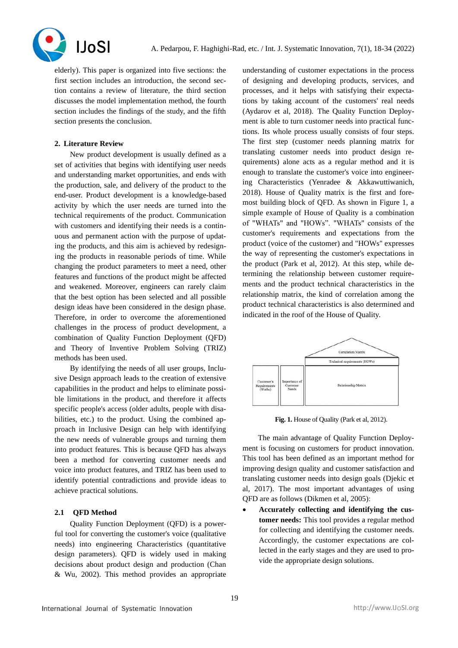

elderly). This paper is organized into five sections: the first section includes an introduction, the second section contains a review of literature, the third section discusses the model implementation method, the fourth section includes the findings of the study, and the fifth section presents the conclusion.

# **2. Literature Review**

New product development is usually defined as a set of activities that begins with identifying user needs and understanding market opportunities, and ends with the production, sale, and delivery of the product to the end-user. Product development is a knowledge-based activity by which the user needs are turned into the technical requirements of the product. Communication with customers and identifying their needs is a continuous and permanent action with the purpose of updating the products, and this aim is achieved by redesigning the products in reasonable periods of time. While changing the product parameters to meet a need, other features and functions of the product might be affected and weakened. Moreover, engineers can rarely claim that the best option has been selected and all possible design ideas have been considered in the design phase. Therefore, in order to overcome the aforementioned challenges in the process of product development, a combination of Quality Function Deployment (QFD) and Theory of Inventive Problem Solving (TRIZ) methods has been used.

By identifying the needs of all user groups, Inclusive Design approach leads to the creation of extensive capabilities in the product and helps to eliminate possible limitations in the product, and therefore it affects specific people's access (older adults, people with disabilities, etc.) to the product. Using the combined approach in Inclusive Design can help with identifying the new needs of vulnerable groups and turning them into product features. This is because QFD has always been a method for converting customer needs and voice into product features, and TRIZ has been used to identify potential contradictions and provide ideas to achieve practical solutions.

## **2.1 QFD Method**

Quality Function Deployment (QFD) is a powerful tool for converting the customer's voice (qualitative needs) into engineering Characteristics (quantitative design parameters). QFD is widely used in making decisions about product design and production (Chan & Wu, 2002). This method provides an appropriate

understanding of customer expectations in the process of designing and developing products, services, and processes, and it helps with satisfying their expectations by taking account of the customers' real needs (Aydarov et al, 2018) . The Quality Function Deployment is able to turn customer needs into practical functions. Its whole process usually consists of four steps. The first step (customer needs planning matrix for translating customer needs into product design requirements) alone acts as a regular method and it is enough to translate the customer's voice into engineering Characteristics (Yenradee & Akkawuttiwanich, 2018). House of Quality matrix is the first and foremost building block of QFD. As shown in Figure 1, a simple example of House of Quality is a combination of "WHATs" and "HOWs". "WHATs" consists of the customer's requirements and expectations from the product (voice of the customer) and "HOWs" expresses the way of representing the customer's expectations in the product (Park et al, 2012). At this step, while determining the relationship between customer requirements and the product technical characteristics in the relationship matrix, the kind of correlation among the product technical characteristics is also determined and indicated in the roof of the House of Quality.



**Fig. 1.** House of Quality (Park et al, 2012).

The main advantage of Quality Function Deployment is focusing on customers for product innovation. This tool has been defined as an important method for improving design quality and customer satisfaction and translating customer needs into design goals (Djekic et al, 2017). The most important advantages of using QFD are as follows (Dikmen et al, 2005) :

• **Accurately collecting and identifying the customer needs:** This tool provides a regular method for collecting and identifying the customer needs. Accordingly, the customer expectations are collected in the early stages and they are used to provide the appropriate design solutions.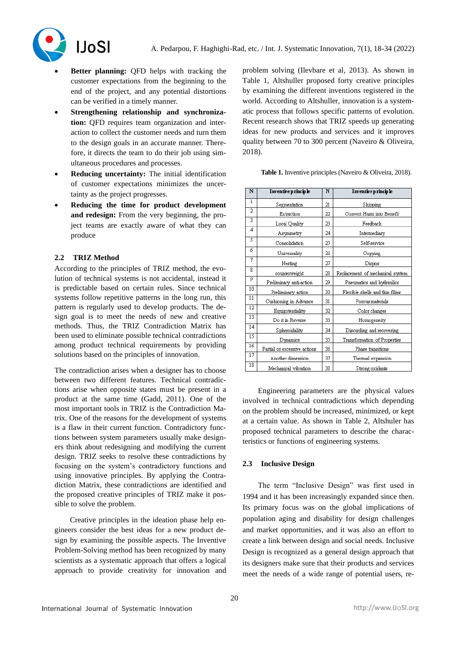

- **Better planning:** QFD helps with tracking the customer expectations from the beginning to the end of the project, and any potential distortions can be verified in a timely manner.
- **Strengthening relationship and synchronization:** QFD requires team organization and interaction to collect the customer needs and turn them to the design goals in an accurate manner. Therefore, it directs the team to do their job using simultaneous procedures and processes.
- **Reducing uncertainty:** The initial identification of customer expectations minimizes the uncertainty as the project progresses.
- **Reducing the time for product development and redesign:** From the very beginning, the project teams are exactly aware of what they can produce

# **2.2 TRIZ Method**

According to the principles of TRIZ method, the evolution of technical systems is not accidental, instead it is predictable based on certain rules. Since technical systems follow repetitive patterns in the long run, this pattern is regularly used to develop products. The design goal is to meet the needs of new and creative methods. Thus, the TRIZ Contradiction Matrix has been used to eliminate possible technical contradictions among product technical requirements by providing solutions based on the principles of innovation.

The contradiction arises when a designer has to choose between two different features. Technical contradictions arise when opposite states must be present in a product at the same time (Gadd, 2011). One of the most important tools in TRIZ is the Contradiction Matrix. One of the reasons for the development of systems is a flaw in their current function. Contradictory functions between system parameters usually make designers think about redesigning and modifying the current design. TRIZ seeks to resolve these contradictions by focusing on the system's contradictory functions and using innovative principles. By applying the Contradiction Matrix, these contradictions are identified and the proposed creative principles of TRIZ make it possible to solve the problem.

Creative principles in the ideation phase help engineers consider the best ideas for a new product design by examining the possible aspects. The Inventive Problem-Solving method has been recognized by many scientists as a systematic approach that offers a logical approach to provide creativity for innovation and

problem solving (Ilevbare et al, 2013). As shown in Table 1, Altshuller proposed forty creative principles by examining the different inventions registered in the world. According to Altshuller, innovation is a systematic process that follows specific patterns of evolution. Recent research shows that TRIZ speeds up generating ideas for new products and services and it improves quality between 70 to 300 percent (Naveiro & Oliveira, 2018).

 **Table 1.** Inventive principles (Naveiro & Oliveira, 2018).

| N               | Inventive principle          |    | Inventive principle              |
|-----------------|------------------------------|----|----------------------------------|
| 1               | Segmentation                 | 21 | Skipping                         |
| $\overline{2}$  | Extraction                   | 22 | Convert Harm into Benefit        |
| 3               | Local Quality                | 23 | Feedback                         |
| 4               | Asymmetry                    | 24 | Intermediary                     |
| 5               | Consolidation                | 25 | Self-service                     |
| ń               | Universality                 | 26 | Copying                          |
| 7               | Nesting                      |    | Dispos                           |
| 8               | counterweight                | 28 | Replacement of mechanical system |
| 9               | Preliminary anti-action      |    | Pneumatics and hydraulics        |
| 10              | Preliminary action           | 30 | Flexible shells and thin films   |
| 11              | Cushioning in Advance        | 31 | Porous materials                 |
| $\overline{12}$ | Equipotentiality             | 32 | Color changes                    |
| 13              | Do it in Reverse             | 33 | Homogeneity                      |
| 14              | Spheroidality                | 34 | Discarding and recovering        |
| 15              | Dynamics                     | 35 | Transformation of Properties     |
| 16              | Partial or excessive actions | 36 | Phase transitions                |
| 17              | Another dimension            | 37 | Thermal expansion                |
| 18              | Mechanical vibration         | 38 | Strong oxidants                  |

Engineering parameters are the physical values involved in technical contradictions which depending on the problem should be increased, minimized, or kept at a certain value. As shown in Table 2, Altshuler has proposed technical parameters to describe the characteristics or functions of engineering systems.

# **2.3 Inclusive Design**

The term "Inclusive Design" was first used in 1994 and it has been increasingly expanded since then. Its primary focus was on the global implications of population aging and disability for design challenges and market opportunities, and it was also an effort to create a link between design and social needs. Inclusive Design is recognized as a general design approach that its designers make sure that their products and services meet the needs of a wide range of potential users, re-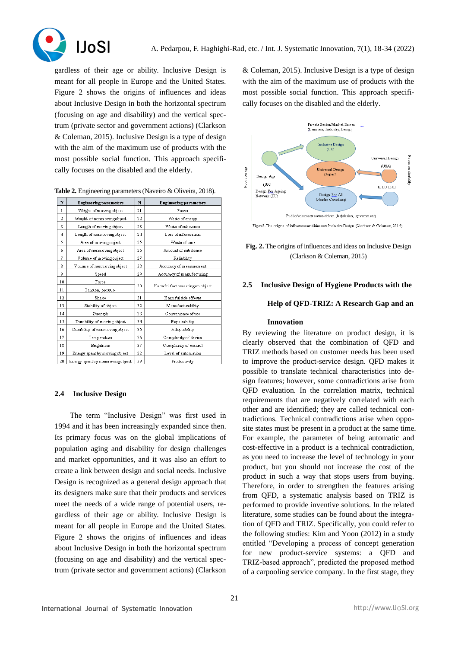



gardless of their age or ability. Inclusive Design is meant for all people in Europe and the United States. Figure 2 shows the origins of influences and ideas about Inclusive Design in both the horizontal spectrum (focusing on age and disability) and the vertical spectrum (private sector and government actions) (Clarkson & Coleman, 2015). Inclusive Design is a type of design with the aim of the maximum use of products with the most possible social function. This approach specifically focuses on the disabled and the elderly .

| N            | <b>Engineering parameters</b>     |    | Engineering parameters          |
|--------------|-----------------------------------|----|---------------------------------|
| $\mathbf{1}$ | Weight of moving object           |    | Power                           |
| 2            | Weight of nonm oving object       | 22 | Waste of energy                 |
| 3            | Length of moving object           | 23 | Waste of substance              |
| 4            | Length of nonm oving object       | 24 | Loss of inform ation            |
| 5            | Area of moving object             | 25 | Waste of time                   |
| 6            | Area of nonmovingobject           | 26 | Am ount of substance            |
| 7            | Volume of moving object           | 27 | Reliability                     |
| 8            | Volume of nonmovingobject         | 28 | Accuracy of measurement         |
| 9            | Speed                             | 29 | Accuracy of manufacturing       |
| 10           | Force                             |    |                                 |
| 11           | Tension, pressure                 | 30 | Harmfulfactors acting on object |
| 12           | Shape                             | 31 | Harmful side effects            |
| 13           | Stability of object               | 32 | Manufacturability               |
| 14           | Strength                          | 33 | Convenience of use              |
| 15           | Durability of moving object       | 34 | Repairability                   |
| 16           | Durability of nonmovingobject     | 35 | Adaptability                    |
| 17           | Temperature                       | 36 | Complexity of device            |
| 18           | <b>Brightness</b>                 | 37 | Complexity of control           |
| 19           | Energy spent by moving object     | 38 | Level of automation             |
| 20           | Energy spent by nonm oving object | 39 | Productivity                    |

# **2.4 Inclusive Design**

The term "Inclusive Design" was first used in 1994 and it has been increasingly expanded since then. Its primary focus was on the global implications of population aging and disability for design challenges and market opportunities, and it was also an effort to create a link between design and social needs. Inclusive Design is recognized as a general design approach that its designers make sure that their products and services meet the needs of a wide range of potential users, regardless of their age or ability. Inclusive Design is meant for all people in Europe and the United States. Figure 2 shows the origins of influences and ideas about Inclusive Design in both the horizontal spectrum (focusing on age and disability) and the vertical spectrum (private sector and government actions) (Clarkson

& Coleman, 2015). Inclusive Design is a type of design with the aim of the maximum use of products with the most possible social function. This approach specifically focuses on the disabled and the elderly.



**Fig. 2.** The origins of influences and ideas on Inclusive Design (Clarkson & Coleman, 2015)

# **2.5 Inclusive Design of Hygiene Products with the**

# **Help of QFD-TRIZ: A Research Gap and an**

## **Innovation**

By reviewing the literature on product design, it is clearly observed that the combination of QFD and TRIZ methods based on customer needs has been used to improve the product-service design. QFD makes it possible to translate technical characteristics into design features; however, some contradictions arise from QFD evaluation. In the correlation matrix, technical requirements that are negatively correlated with each other and are identified; they are called technical contradictions. Technical contradictions arise when opposite states must be present in a product at the same time. For example, the parameter of being automatic and cost-effective in a product is a technical contradiction, as you need to increase the level of technology in your product, but you should not increase the cost of the product in such a way that stops users from buying. Therefore, in order to strengthen the features arising from QFD, a systematic analysis based on TRIZ is performed to provide inventive solutions. In the related literature, some studies can be found about the integration of QFD and TRIZ. Specifically, you could refer to the following studies: Kim and Yoon (2012) in a study entitled "Developing a process of concept generation for new product-service systems: a QFD and TRIZ-based approach", predicted the proposed method of a carpooling service company. In the first stage, they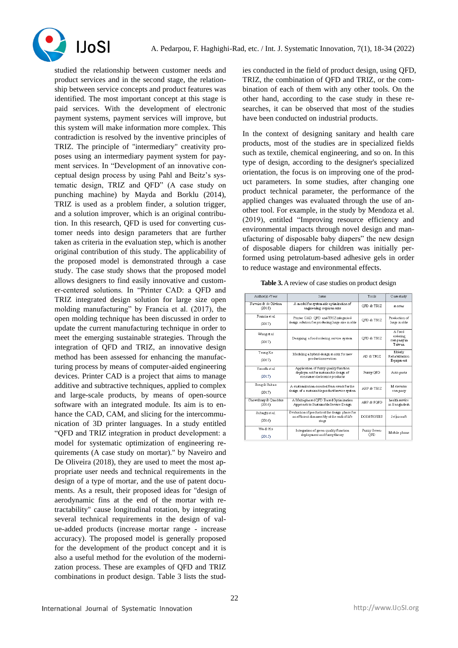

studied the relationship between customer needs and product services and in the second stage, the relationship between service concepts and product features was identified. The most important concept at this stage is paid services. With the development of electronic payment systems, payment services will improve, but this system will make information more complex. This contradiction is resolved by the inventive principles of TRIZ. The principle of "intermediary" creativity proposes using an intermediary payment system for payment services. In "Development of an innovative conceptual design process by using Pahl and Beitz's systematic design, TRIZ and QFD" (A case study on punching machine) by Mayda and Borklu (2014), TRIZ is used as a problem finder, a solution trigger, and a solution improver, which is an original contribution. In this research, QFD is used for converting customer needs into design parameters that are further taken as criteria in the evaluation step, which is another original contribution of this study. The applicability of the proposed model is demonstrated through a case study. The case study shows that the proposed model allows designers to find easily innovative and customer-centered solutions. In "Printer CAD: a QFD and TRIZ integrated design solution for large size open molding manufacturing" by Francia et al. (2017), the open molding technique has been discussed in order to update the current manufacturing technique in order to meet the emerging sustainable strategies. Through the integration of QFD and TRIZ, an innovative design method has been assessed for enhancing the manufacturing process by means of computer-aided engineering devices. Printer CAD is a project that aims to manage additive and subtractive techniques, applied to complex and large-scale products, by means of open-source software with an integrated module. Its aim is to enhance the CAD, CAM, and slicing for the intercommunication of 3D printer languages. In a study entitled "QFD and TRIZ integration in product development: a model for systematic optimization of engineering requirements (A case study on mortar)." by Naveiro and De Oliveira (2018), they are used to meet the most appropriate user needs and technical requirements in the design of a type of mortar, and the use of patent documents. As a result, their proposed ideas for "design of aerodynamic fins at the end of the mortar with retractability" cause longitudinal rotation, by integrating several technical requirements in the design of value-added products (increase mortar range - increase accuracy). The proposed model is generally proposed for the development of the product concept and it is also a useful method for the evolution of the modernization process. These are examples of QFD and TRIZ combinations in product design. Table 3 lists the studies conducted in the field of product design, using QFD, TRIZ, the combination of QFD and TRIZ, or the combination of each of them with any other tools. On the other hand, according to the case study in these researches, it can be observed that most of the studies have been conducted on industrial products.

In the context of designing sanitary and health care products, most of the studies are in specialized fields such as textile, chemical engineering, and so on. In this type of design, according to the designer's specialized orientation, the focus is on improving one of the product parameters. In some studies, after changing one product technical parameter, the performance of the applied changes was evaluated through the use of another tool. For example, in the study by Mendoza et al. (2019), entitled "Improving resource efficiency and environmental impacts through novel design and manufacturing of disposable baby diapers" the new design of disposable diapers for children was initially performed using petrolatum-based adhesive gels in order to reduce wastage and environmental effects.

| Authon's) /Year                 | Tools                                                                                                           | Case study          |                                           |
|---------------------------------|-----------------------------------------------------------------------------------------------------------------|---------------------|-------------------------------------------|
| Naveiro & de Oliviera<br>(2018) | A model for system atic optimization of<br>engineering requirements                                             | OFD & TRIZ          | m ortar                                   |
| Francia et al.<br>(2017)        | Printer CAD: QFD and TRIZ integrated<br>design solution for producing large size molds                          | OFD & TRIZ          | Production of<br>large molds              |
| Wang et al<br>(2017)            | Designing a food ordering service system                                                                        | OFD & TRIZ          | A food<br>ordering<br>companyin<br>Taiwan |
| Tsung Ko<br>(2017)              | Modeling a hybrid design matrix for new<br>product innovation                                                   | AD & TRIZ           | Elderly<br>Rehabilitation<br>Equipment    |
| Vinndh et al.<br>(2017)         | Application of fuzzy quality function<br>deployment for sustainable design of<br>consum er electronics products | Fuzzy OFD           | Auto parts                                |
| Song & Sakao<br>(2017)          | A customization-oriented fram ework for the<br>design of a sustainable product/service system                   | AHP & TRIZ          | M elevator<br>company                     |
| Chowdhury & Quaddus<br>(2016)   | A Multi-phased QFD Based Optimization<br>Approach to Sustainable Service Design                                 | AHP & FOFD          | health service<br>in Bangladesh           |
| Sabaghiet al.<br>(2016)         | Evaluation of products at the design phase for<br>an efficient disassem bly at the end-of-life<br>stage         | DOE&TOPSIS          | Jet aircraft                              |
| Wu & Ho<br>(2015)               | Integration of green quality function<br>deployment and fuzzy theory                                            | Fuzzy Green-<br>OFD | Mobile phone                              |

#### **Table 3.** A review of case studies on product design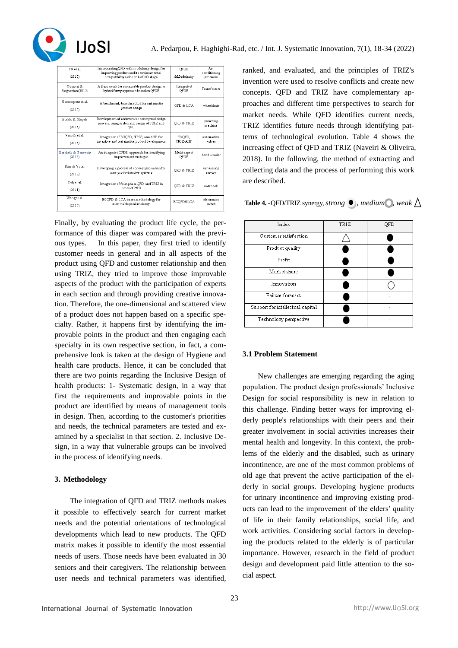

| V <sub>11</sub> et al.<br>(2015) | Incorporating QFD with modularity design for<br>improving product and its environmental<br>compatibility at the end-of-life stage | OFDE<br>&Modularity | Air-<br>conditioning<br>products |
|----------------------------------|-----------------------------------------------------------------------------------------------------------------------------------|---------------------|----------------------------------|
| Vounesi &                        | A fram ework for sustainable product design: a                                                                                    | Integrated          | Transform er                     |
| Roghanian(2015)                  | hybrid fuzzy approach based on QFDE                                                                                               | OFDE                |                                  |
| Hosseinpour et al.<br>(2015)     | A henchmark-hased method for sustainable<br>product design                                                                        | OFD & LCA           | wheelchair                       |
| Borklu & Mayda<br>(2014)         | Developm ent of an inventive conceptual design<br>process, using system atic design of TRIZ and<br>OFD                            | OFD & TRIZ          | punching<br>m achine             |
| Vinndh et al.                    | Integration of ECQFD, TRIZ, and AHP for                                                                                           | ECOFD.              | autom otive                      |
| (2014)                           | inventive and sustainable product development                                                                                     | TRIZ-AHP            | valves                           |
| Bereketli & Genevois             | An integrated QFDE approach for identifying                                                                                       | Multi-aspect        | handblender                      |
| (2013)                           | improvement strategies                                                                                                            | OFDE                |                                  |
| Kim & Yoon                       | Developing a process of concept generation for                                                                                    | OFD & TRIZ          | car sharing                      |
| (2012)                           | new product service systems                                                                                                       |                     | service                          |
| Yeh et al.<br>(2011)             | Integration of four-phase OFD and TRIZ in<br>product R&D                                                                          | OFD & TRIZ          | notebook                         |
| Wang et al.                      | ECQFD & LCA based methodology for                                                                                                 | ECOFD&LCA           | electronics                      |
| (2010)                           | sustainable product design                                                                                                        |                     | switch                           |

Finally, by evaluating the product life cycle, the performance of this diaper was compared with the previous types. In this paper, they first tried to identify customer needs in general and in all aspects of the product using QFD and customer relationship and then using TRIZ, they tried to improve those improvable aspects of the product with the participation of experts in each section and through providing creative innovation. Therefore, the one-dimensional and scattered view of a product does not happen based on a specific specialty. Rather, it happens first by identifying the improvable points in the product and then engaging each specialty in its own respective section, in fact, a comprehensive look is taken at the design of Hygiene and health care products. Hence, it can be concluded that there are two points regarding the Inclusive Design of health products: 1- Systematic design, in a way that first the requirements and improvable points in the product are identified by means of management tools in design. Then, according to the customer's priorities and needs, the technical parameters are tested and examined by a specialist in that section. 2. Inclusive Design, in a way that vulnerable groups can be involved in the process of identifying needs.

# **3. Methodology**

The integration of QFD and TRIZ methods makes it possible to effectively search for current market needs and the potential orientations of technological developments which lead to new products. The QFD matrix makes it possible to identify the most essential needs of users. Those needs have been evaluated in 30 seniors and their caregivers. The relationship between user needs and technical parameters was identified, ranked, and evaluated, and the principles of TRIZ's invention were used to resolve conflicts and create new concepts. QFD and TRIZ have complementary approaches and different time perspectives to search for market needs. While QFD identifies current needs, TRIZ identifies future needs through identifying patterns of technological evolution. Table 4 shows the increasing effect of QFD and TRIZ (Naveiri & Oliveira, 2018). In the following, the method of extracting and collecting data and the process of performing this work are described.

**Table 4.** -QFD/TRIZ synergy, *strong*  $\bullet$ , *medium* , weak  $\wedge$ 

| Index                            | TRIZ | QFD |
|----------------------------------|------|-----|
| Custom er satisfaction           |      |     |
| Product quality                  |      |     |
| Profit                           |      |     |
| Market share                     |      |     |
| Innovation                       |      |     |
| Failure forecast                 |      |     |
| Support for intellectual capital |      |     |
| Technology perspective           |      |     |

# **3.1 Problem Statement**

New challenges are emerging regarding the aging population. The product design professionals' Inclusive Design for social responsibility is new in relation to this challenge. Finding better ways for improving elderly people's relationships with their peers and their greater involvement in social activities increases their mental health and longevity. In this context, the problems of the elderly and the disabled, such as urinary incontinence, are one of the most common problems of old age that prevent the active participation of the elderly in social groups. Developing hygiene products for urinary incontinence and improving existing products can lead to the improvement of the elders' quality of life in their family relationships, social life, and work activities. Considering social factors in developing the products related to the elderly is of particular importance. However, research in the field of product design and development paid little attention to the social aspect.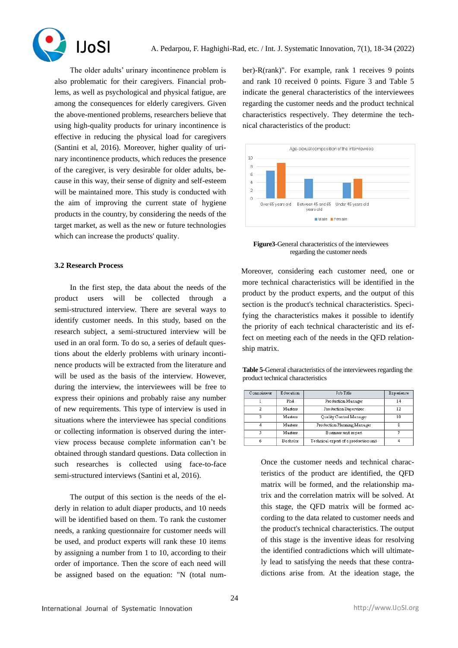

**IJoSI** The older adults' urinary incontinence problem is also problematic for their caregivers. Financial problems, as well as psychological and physical fatigue, are among the consequences for elderly caregivers. Given the above-mentioned problems, researchers believe that using high-quality products for urinary incontinence is effective in reducing the physical load for caregivers (Santini et al, 2016). Moreover, higher quality of urinary incontinence products, which reduces the presence of the caregiver, is very desirable for older adults, because in this way, their sense of dignity and self-esteem will be maintained more. This study is conducted with the aim of improving the current state of hygiene products in the country, by considering the needs of the target market, as well as the new or future technologies which can increase the products' quality.

# **3.2 Research Process**

In the first step, the data about the needs of the product users will be collected through a semi-structured interview. There are several ways to identify customer needs. In this study, based on the research subject, a semi-structured interview will be used in an oral form. To do so, a series of default questions about the elderly problems with urinary incontinence products will be extracted from the literature and will be used as the basis of the interview. However, during the interview, the interviewees will be free to express their opinions and probably raise any number of new requirements. This type of interview is used in situations where the interviewee has special conditions or collecting information is observed during the interview process because complete information can't be obtained through standard questions. Data collection in such researches is collected using face-to-face semi-structured interviews (Santini et al, 2016).

The output of this section is the needs of the elderly in relation to adult diaper products, and 10 needs will be identified based on them. To rank the customer needs, a ranking questionnaire for customer needs will be used, and product experts will rank these 10 items by assigning a number from 1 to 10, according to their order of importance. Then the score of each need will be assigned based on the equation: "N (total number)-R(rank)". For example, rank 1 receives 9 points and rank 10 received 0 points. Figure 3 and Table 5 indicate the general characteristics of the interviewees regarding the customer needs and the product technical characteristics respectively. They determine the technical characteristics of the product:



**Figure3**-General characteristics of the interviewees regarding the customer needs

Moreover, considering each customer need, one or more technical characteristics will be identified in the product by the product experts, and the output of this section is the product's technical characteristics. Specifying the characteristics makes it possible to identify the priority of each technical characteristic and its effect on meeting each of the needs in the QFD relationship matrix.

**Table 5-**General characteristics of the interviewees regarding the product technical characteristics

| Connoisseur | Education | Job Title                             | Experience |
|-------------|-----------|---------------------------------------|------------|
|             | Phd       | Production Manager                    | 14         |
| 2           | Masters   | Production Supervisor                 | 12         |
|             | Masters   | Quality Control Manager               | 10         |
| 4           | Masters   | Production Planning Manager           | 8          |
|             | Masters   | Business unit expert                  |            |
|             | Bachelor  | Technical expert of a production unit |            |

Once the customer needs and technical characteristics of the product are identified, the QFD matrix will be formed, and the relationship matrix and the correlation matrix will be solved. At this stage, the QFD matrix will be formed according to the data related to customer needs and the product's technical characteristics. The output of this stage is the inventive ideas for resolving the identified contradictions which will ultimately lead to satisfying the needs that these contradictions arise from. At the ideation stage, the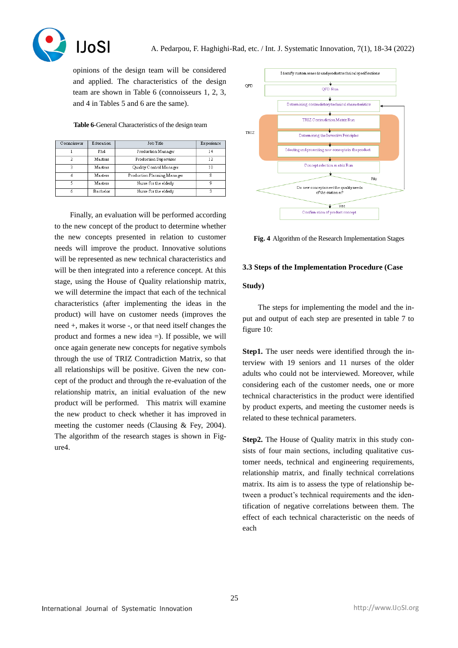

A. Pedarpou, F. Haghighi-Rad, etc. / Int. J. Systematic Innovation, 7(1), 18-34 (2022)

opinions of the design team will be considered and applied. The characteristics of the design team are shown in Table 6 (connoisseurs 1, 2, 3, and 4 in Tables 5 and 6 are the same).

**Table 6**-General Characteristics of the design team

| Connoisseur | Education | Job Title                   | Experience |
|-------------|-----------|-----------------------------|------------|
|             | Phd       | Production Manager          | 14         |
| 2           | Masters   | Production Supervisor       | 12         |
| ٩           | Masters   | Quality Control Manager     | 10         |
|             | Masters   | Production Planning Manager | 8          |
|             | Masters   | Nurse for the elderly       | q          |
| ń           | Bachelor  | Nurse for the elderly       |            |

Finally, an evaluation will be performed according to the new concept of the product to determine whether the new concepts presented in relation to customer needs will improve the product. Innovative solutions will be represented as new technical characteristics and will be then integrated into a reference concept. At this stage, using the House of Quality relationship matrix, we will determine the impact that each of the technical characteristics (after implementing the ideas in the product) will have on customer needs (improves the need +, makes it worse -, or that need itself changes the product and formes a new idea =). If possible, we will once again generate new concepts for negative symbols through the use of TRIZ Contradiction Matrix, so that all relationships will be positive. Given the new concept of the product and through the re-evaluation of the relationship matrix, an initial evaluation of the new product will be performed. This matrix will examine the new product to check whether it has improved in meeting the customer needs (Clausing & Fey, 2004). The algorithm of the research stages is shown in Figure4.



**Fig. 4** Algorithm of the Research Implementation Stages

## **3.3 Steps of the Implementation Procedure (Case**

#### **Study)**

The steps for implementing the model and the input and output of each step are presented in table 7 to figure 10:

**Step1.** The user needs were identified through the interview with 19 seniors and 11 nurses of the older adults who could not be interviewed. Moreover, while considering each of the customer needs, one or more technical characteristics in the product were identified by product experts, and meeting the customer needs is related to these technical parameters.

**Step2.** The House of Quality matrix in this study consists of four main sections, including qualitative customer needs, technical and engineering requirements, relationship matrix, and finally technical correlations matrix. Its aim is to assess the type of relationship between a product's technical requirements and the identification of negative correlations between them. The effect of each technical characteristic on the needs of each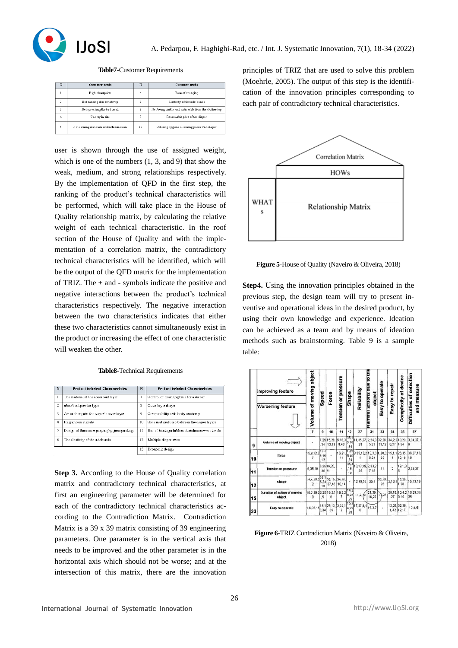

**Table7**-Customer Requirements

| N              | <b>Customer</b> needs                   | N                  | <b>Customer</b> needs                                 |
|----------------|-----------------------------------------|--------------------|-------------------------------------------------------|
|                | High absorption                         | 6                  | Ease of changing                                      |
| $\overline{2}$ | Not causing skin sensitivity            |                    | Elasticity of the side bands                          |
| ٩              | Not spreading the bad smell             | $\mathbf{\hat{z}}$ | Not being visible and noticeable from the clothes top |
| 4              | Variety in size                         | 9                  | Reasonable price of the diaper                        |
|                | Not causing skin rash and inflamm ation | 10                 | Offering hygiene cleansing packs with diaper          |

user is shown through the use of assigned weight, which is one of the numbers (1, 3, and 9) that show the weak, medium, and strong relationships respectively. By the implementation of QFD in the first step, the ranking of the product's technical characteristics will be performed, which will take place in the House of Quality relationship matrix, by calculating the relative weight of each technical characteristic. In the roof section of the House of Quality and with the implementation of a correlation matrix, the contradictory technical characteristics will be identified, which will be the output of the QFD matrix for the implementation of TRIZ. The + and - symbols indicate the positive and negative interactions between the product's technical characteristics respectively. The negative interaction between the two characteristics indicates that either these two characteristics cannot simultaneously exist in the product or increasing the effect of one characteristic will weaken the other.

**Table8**-Technical Requirements

| N              | <b>Product technical Characteristics</b>   | N  | <b>Product technical Characteristics</b>        |
|----------------|--------------------------------------------|----|-------------------------------------------------|
| $\mathbf{1}$   | The material of the absorbent layer        | 7  | Control of changing time for a diaper           |
| $\overline{2}$ | absorbent powder type                      | 8  | Outer layer shape                               |
| 3              | Air exchange in the diaper's outer layer   | 9  | Compatibility with body anatomy                 |
| 4              | fragrance materials                        | 10 | Glue material used between the diaper lavers    |
| 5              | Design of the accompanying hygiene package | 11 | Use of biodegradable materials as raw materials |
| 6              | The elasticity of the sidebands            | 12 | Multiple diaper sizes                           |
|                |                                            | 13 | Economic design                                 |

**Step 3.** According to the House of Quality correlation matrix and contradictory technical characteristics, at first an engineering parameter will be determined for each of the contradictory technical characteristics according to the Contradiction Matrix. Contradiction Matrix is a 39 x 39 matrix consisting of 39 engineering parameters. One parameter is in the vertical axis that needs to be improved and the other parameter is in the horizontal axis which should not be worse; and at the intersection of this matrix, there are the innovation principles of TRIZ that are used to solve this problem (Moehrle, 2005). The output of this step is the identification of the innovation principles corresponding to each pair of contradictory technical characteristics.



**Figure 5**-House of Quality (Naveiro & Oliveira, 2018)

**Step4.** Using the innovation principles obtained in the previous step, the design team will try to present inventive and operational ideas in the desired product, by using their own knowledge and experience. Ideation can be achieved as a team and by means of ideation methods such as brainstorming. Table 9 is a sample table:

|    | Improving feature                      | Volume of moving object                   | Speed               | Force           | <b>Tension or pressure</b> | Shape               | Reliability                     | Harmul actions que to the<br>object | Easy to operate | Easy to repair | Complexity of device       | Difficulties of detection<br>and measure |
|----|----------------------------------------|-------------------------------------------|---------------------|-----------------|----------------------------|---------------------|---------------------------------|-------------------------------------|-----------------|----------------|----------------------------|------------------------------------------|
|    | <b>Worsening feature</b>               |                                           |                     |                 |                            |                     |                                 |                                     |                 |                |                            |                                          |
|    |                                        | $\overline{\phantom{a}}$                  | g                   | 10              | 11                         | 12                  | 27                              | 31                                  | 33              | 34             | 36                         | 37                                       |
| 9  | Volume of moving object                | ×                                         | 7.29<br>.34         | 15,28<br>13.19  | 6,18,3<br>8,40             | 35.1<br>5,18<br>.34 | 11,35,27.<br>28                 | 2,24,3 32,28,<br>5,21               | 13.12           | 6,27           | 34, 2, 2 10, 29,<br>4,34   | 3,34,27,1                                |
| 10 | force                                  | 15,9,12,3                                 | 13.2<br>8.15<br>.12 | ×               | 16,21<br>11                | 10.5<br>5,40<br>34  | 3, 35, 13, 2 13, 3, 3 1, 28, 3, | 6.24                                | 25              | 1              | 15, 1, 1 26, 35,<br>10.18  | 36.37.10.<br>19                          |
| 11 | <b>Tension or pressure</b>             | 6,35,10                                   | ,36 21              | 6,3636,35,      | ¥                          | 35.4<br>,15,<br>10  | 10,13,19, 2,33,2<br>35          | 7.18                                | 11              | $\overline{a}$ |                            | $19.1.3\big _{2,36,37}$                  |
| 12 | shape                                  | 14,4,15,2<br>$\overline{2}$               | 35.1<br>5.34<br>18  | 35,10,<br>37,40 | 34,15,<br>10.14            |                     | 10,40,18                        | 35,1                                | 32,15,<br>26    | 2,13,1         | 16,29,<br>1,28             | 15,13,19                                 |
| 15 | Duration of action of moving<br>object | 10, 2, 19, 3 3, 35 19, 2, 1 19, 3, 2<br>o | $\overline{5}$      | 8               | 7                          | 14.2<br>25          | $6,28$ 11, 2, 13                | 21,39,<br>16.22                     | 2.27            | 27             | 9.15                       | 29, 10, 10, 4, 2 19, 29, 39<br>35        |
| 33 | Easy to operate                        | 1,6,35,15 18,1 28,13,                     | 3,34                | 35              | 2,32,1<br>2                | 15,3<br>4,29<br>28  | 17,27,8,4<br>a                  | 15,2,7                              | ٠               |                | 2,26, 32,26,<br>1,32 12.17 | 12,4,5                                   |

**Figure 6**-TRIZ Contradiction Matrix (Naveiro & Oliveira, 2018)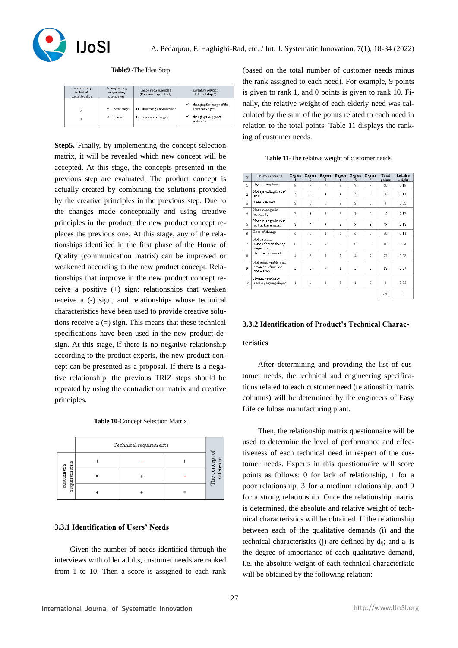

**Table9** -The Idea Step

| Contradictory<br>technical<br>characteristics | Corresponding<br>engineering<br>parameters | Innovation principles<br>(Previous step output)      | inventive solution.<br>(Output step 4)                                                 |
|-----------------------------------------------|--------------------------------------------|------------------------------------------------------|----------------------------------------------------------------------------------------|
| X<br>32                                       | Efficiency<br>power                        | 34. Discarding and recovery<br>35. Parameter changes | changing the shape of the<br>V<br>absorbentlaver<br>changing the type of<br>m aterials |

**Step5.** Finally, by implementing the concept selection matrix, it will be revealed which new concept will be accepted. At this stage, the concepts presented in the previous step are evaluated. The product concept is actually created by combining the solutions provided by the creative principles in the previous step. Due to the changes made conceptually and using creative principles in the product, the new product concept replaces the previous one. At this stage, any of the relationships identified in the first phase of the House of Quality (communication matrix) can be improved or weakened according to the new product concept. Relationships that improve in the new product concept receive a positive (+) sign; relationships that weaken receive a (-) sign, and relationships whose technical characteristics have been used to provide creative solutions receive  $a =$ ) sign. This means that these technical specifications have been used in the new product design. At this stage, if there is no negative relationship according to the product experts, the new product concept can be presented as a proposal. If there is a negative relationship, the previous TRIZ steps should be repeated by using the contradiction matrix and creative principles.

|                            | Technical requirements |  |  |                             |  |
|----------------------------|------------------------|--|--|-----------------------------|--|
|                            |                        |  |  |                             |  |
| requirements<br>customer's |                        |  |  | The concept of<br>reference |  |
|                            |                        |  |  |                             |  |

# **3.3.1 Identification of Users' Needs**

Given the number of needs identified through the interviews with older adults, customer needs are ranked from 1 to 10. Then a score is assigned to each rank (based on the total number of customer needs minus the rank assigned to each need). For example, 9 points is given to rank 1, and 0 points is given to rank 10. Finally, the relative weight of each elderly need was calculated by the sum of the points related to each need in relation to the total points. Table 11 displays the ranking of customer needs .

| Table 11-The relative weight of customer needs |  |  |
|------------------------------------------------|--|--|
|                                                |  |  |

| N              | Custom er needs                                             | Expert                  | Expert<br>$\overline{2}$ | Expert<br>3             | Expert<br>4             | Expert<br>5    | Expert<br>6        | Total<br>points    | Relative<br>weight |
|----------------|-------------------------------------------------------------|-------------------------|--------------------------|-------------------------|-------------------------|----------------|--------------------|--------------------|--------------------|
| $\mathbf{1}$   | High absorption                                             | ģ,                      | 9                        | 7                       | 9                       | 7              | $\overline{Q}$     | 50                 | 0.19               |
| $\overline{a}$ | Not spreading the bad<br>sm ell                             | 5                       | ń                        | $\overline{\mathbf{4}}$ | $\overline{\mathbf{4}}$ | 5              | 6                  | 30                 | 0.11               |
| $\mathbf{a}$   | Variety in size                                             | $\overline{2}$          | $\Omega$                 | $\mathbf{1}$            | $\overline{2}$          | $\overline{2}$ | $\mathbf{1}$       | $\bar{8}$          | 0.03               |
| $\ddot{4}$     | Not causing skin<br>sensitivity                             | 7                       | $\bar{x}$                | $\boldsymbol{8}$        | 7                       | $\overline{8}$ | 7                  | 45                 | 0.17               |
| 5              | Not causing skin rash<br>and inflammation                   | $\bar{R}$               | 7                        | Q                       | $\bar{R}$               | 9              | $\mathbf{\hat{x}}$ | 49                 | 0.18               |
| 6              | Ease of change                                              | 6                       | 5                        | $\overline{a}$          | 6                       | 6              | 5                  | 30                 | 0.11               |
| 7              | Not causing<br>discom fort on the top<br>diaper tape        | $\Omega$                | 4                        | 6                       | $\mathbf{0}$            | $\mathbf{0}$   | O.                 | $10^{-1}$          | 0.04               |
| a              | Being economical                                            | $\overline{\mathbf{4}}$ | $\overline{a}$           | 3                       | 5                       | $\overline{a}$ | 4                  | 22                 | 0.08               |
| 9              | Not being visible and<br>noticeable from the<br>clothes top | $\overline{3}$          | 3                        | 5                       | $\mathbf{1}$            | $\overline{3}$ | 3                  | 18                 | 0.07               |
| 10             | Hygiene package<br>accompanyingdiaper                       | $\mathbf{1}$            | $\mathbf{1}$             | $\Omega$                | ٩                       | $\mathbf{1}$   | $\overline{2}$     | $\mathbf{\hat{z}}$ | 0.03               |
|                |                                                             |                         |                          |                         |                         |                |                    | 270                | $\mathbf{1}$       |

# **3.3.2 Identification of Product's Technical Charac-**

#### **teristics**

After determining and providing the list of customer needs, the technical and engineering specifications related to each customer need (relationship matrix columns) will be determined by the engineers of Easy Life cellulose manufacturing plant.

Then, the relationship matrix questionnaire will be used to determine the level of performance and effectiveness of each technical need in respect of the customer needs. Experts in this questionnaire will score points as follows: 0 for lack of relationship, 1 for a poor relationship, 3 for a medium relationship, and 9 for a strong relationship. Once the relationship matrix is determined, the absolute and relative weight of technical characteristics will be obtained. If the relationship between each of the qualitative demands (i) and the technical characteristics (j) are defined by  $d_{ii}$ ; and  $a_i$  is the degree of importance of each qualitative demand, i.e. the absolute weight of each technical characteristic will be obtained by the following relation: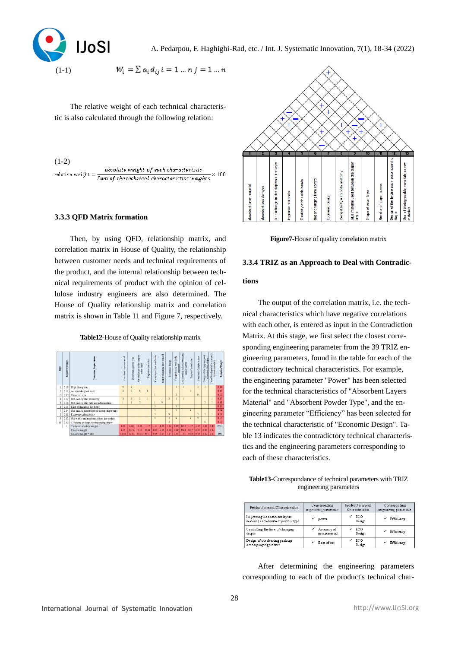

$$
W_i = \sum a_i d_{ij} i = 1 ... n j = 1 ... n
$$

The relative weight of each technical characteristic is also calculated through the following relation :

 $(1-2)$ absolute weight of each characteristic relative weight  $=\frac{absolutie weight\ of\ each\ characteristic}{Sum\ of\ the\ technical\ characteristic\ weights}$  $\times$ 100

## **3.3.3 QFD Matrix formation**

Then, by using QFD, relationship matrix, and correlation matrix in House of Quality, the relationship between customer needs and technical requirements of the product, and the internal relationship between technical requirements of product with the opinion of cellulose industry engineers are also determined. The House of Quality relationship matrix and correlation matrix is shown in Table 11 and Figure 7, respectively.

**Table12**-House of Quality relationship matrix





**Figure7**-House of quality correlation matrix

#### **3.3.4 TRIZ as an Approach to Deal with Contradic-**

## **tions**

The output of the correlation matrix, i.e. the technical characteristics which have negative correlations with each other, is entered as input in the Contradiction Matrix. At this stage, we first select the closest corresponding engineering parameter from the 39 TRIZ engineering parameters, found in the table for each of the contradictory technical characteristics. For example, the engineering parameter "Power" has been selected for the technical characteristics of "Absorbent Layers Material" and "Absorbent Powder Type", and the engineering parameter "Efficiency" has been selected for the technical characteristic of "Economic Design". Table 13 indicates the contradictory technical characteristics and the engineering parameters corresponding to each of these characteristics.

**Table13**-Correspondance of technical parameters with TRIZ engineering parameters

| Product technical Characteristics                                      | Corresponding         | Product technical         | Corresponding         |
|------------------------------------------------------------------------|-----------------------|---------------------------|-----------------------|
|                                                                        | engineering parameter | Characteristics           | engineering parameter |
| Improving the absorbent layers<br>m aterial, and absorbent powder type | power                 | <b>ECO</b><br>v<br>Design | Efficiency            |
| Controlling the time of changing                                       | Accuracy of           | ECO                       | Efficiency            |
| diaper                                                                 | measurement           | Design                    |                       |
| Design of the cleaning package<br>accompanyingproduct                  | Ease of use           | ECO<br>Design             | Efficiency            |

After determining the engineering parameters corresponding to each of the product's technical char-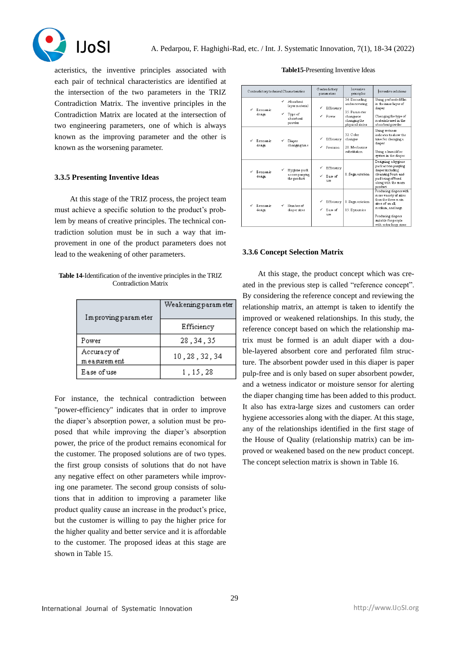

acteristics, the inventive principles associated with each pair of technical characteristics are identified at the intersection of the two parameters in the TRIZ Contradiction Matrix. The inventive principles in the Contradiction Matrix are located at the intersection of two engineering parameters, one of which is always known as the improving parameter and the other is known as the worsening parameter.

# **3.3.5 Presenting Inventive Ideas**

At this stage of the TRIZ process, the project team must achieve a specific solution to the product's problem by means of creative principles. The technical contradiction solution must be in such a way that improvement in one of the product parameters does not lead to the weakening of other parameters.

**Table 14**-Identification of the inventive principles in the TRIZ Contradiction Matrix

| Improving parameter          | Weakening param eter |  |
|------------------------------|----------------------|--|
|                              | Efficiency           |  |
| Power                        | 28, 34, 35           |  |
| Accuracy of<br>m easurem ent | 10, 28, 32, 34       |  |
| Ease of use                  | 1, 15, 28            |  |

For instance, the technical contradiction between "power-efficiency" indicates that in order to improve the diaper's absorption power, a solution must be proposed that while improving the diaper's absorption power, the price of the product remains economical for the customer. The proposed solutions are of two types. the first group consists of solutions that do not have any negative effect on other parameters while improving one parameter. The second group consists of solutions that in addition to improving a parameter like product quality cause an increase in the product's price, but the customer is willing to pay the higher price for the higher quality and better service and it is affordable to the customer. The proposed ideas at this stage are shown in Table 15 .

**Table15**-Presenting Inventive Ideas

|   | Contradictory technical Characteristics |                                                                      | Contradictory<br>parameters  | Inventive<br>principles                                                                          | Inventive solutions                                                                                                                                                                    |
|---|-----------------------------------------|----------------------------------------------------------------------|------------------------------|--------------------------------------------------------------------------------------------------|----------------------------------------------------------------------------------------------------------------------------------------------------------------------------------------|
|   | ✓<br>Economic<br>✓<br>design            | <b>Ahsorhent</b><br>laver material<br>Type of<br>absorbent<br>powder | Efficiency<br>✓<br>Power     | 34. Discarding<br>andrecovering<br>35 Parameter<br>changes or<br>changing the<br>physical states | Using perforated film<br>in the inner layer of<br>diaper<br>Changing the type of<br>materialsused in the<br>absorbent powder                                                           |
| ✓ | Economic.<br>✓<br>design                | Diaper<br>changing time                                              | Efficiency<br>Precision      | 32 Color<br>changes<br>28. Mechanics<br>substitution                                             | Using wetness<br>indicator to show the<br>time for changing a<br>diaper<br>Using a humidifier<br>system in the diaper                                                                  |
|   | ✓<br>Economic<br>design                 | Hygiene pack<br>accompanying<br>the product                          | Efficiency<br>Ease of<br>use | 1. Segm entation                                                                                 | Designing a hygiene<br>pack accompanying<br>diaper including<br>cleansing foam and<br>pad being offered<br>along with the main<br>product                                              |
|   | Economic<br>✓<br>design                 | Number of<br>diaper sizes                                            | Efficiency<br>Ease of<br>use | 1. Segn entation<br>15. Dynamics                                                                 | Producing diapers with<br>m ore variety of sizes<br>than the three main<br>sizes of small.<br>medium, and large.<br>Producing diapers<br>suitable for people<br>with extra-large sizes |

#### **3.3.6 Concept Selection Matrix**

At this stage, the product concept which was created in the previous step is called "reference concept". By considering the reference concept and reviewing the relationship matrix, an attempt is taken to identify the improved or weakened relationships. In this study, the reference concept based on which the relationship matrix must be formed is an adult diaper with a double-layered absorbent core and perforated film structure. The absorbent powder used in this diaper is paper pulp-free and is only based on super absorbent powder, and a wetness indicator or moisture sensor for alerting the diaper changing time has been added to this product. It also has extra-large sizes and customers can order hygiene accessories along with the diaper. At this stage, any of the relationships identified in the first stage of the House of Quality (relationship matrix) can be improved or weakened based on the new product concept. The concept selection matrix is shown in Table 16.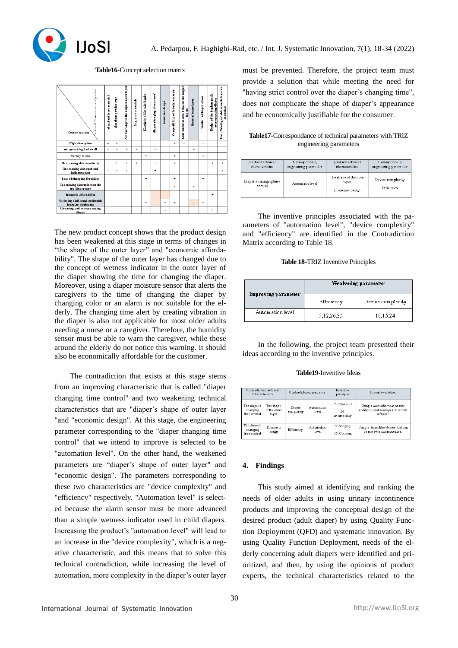

**Table16**-Concept selection matrix



The new product concept shows that the product design has been weakened at this stage in terms of changes in "the shape of the outer layer" and "economic affordability". The shape of the outer layer has changed due to the concept of wetness indicator in the outer layer of the diaper showing the time for changing the diaper. Moreover, using a diaper moisture sensor that alerts the caregivers to the time of changing the diaper by changing color or an alarm is not suitable for the elderly. The changing time alert by creating vibration in the diaper is also not applicable for most older adults needing a nurse or a caregiver. Therefore, the humidity sensor must be able to warn the caregiver, while those around the elderly do not notice this warning. It should also be economically affordable for the customer .

The contradiction that exists at this stage stems from an improving characteristic that is called "diaper changing time control" and two weakening technical characteristics that are "diaper's shape of outer layer "and "economic design". At this stage, the engineering parameter corresponding to the "diaper changing time control" that we intend to improve is selected to be "automation level". On the other hand, the weakened parameters are "diaper's shape of outer layer" and "economic design". The parameters corresponding to these two characteristics are "device complexity" and "efficiency" respectively. "Automation level" is selected because the alarm sensor must be more advanced than a simple wetness indicator used in child diapers. Increasing the product's "automation level" will lead to an increase in the "device complexity", which is a negative characteristic, and this means that to solve this technical contradiction, while increasing the level of automation, more complexity in the diaper's outer layer must be prevented. Therefore, the project team must provide a solution that while meeting the need for "having strict control over the diaper's changing time", does not complicate the shape of diaper's appearance and be economically justifiable for the consumer .

# **Table17**-Correspondance of technical parameters with TRIZ engineering parameters

| product technical                 | Corresponding         | product technical                                  | Corresponding                   |
|-----------------------------------|-----------------------|----------------------------------------------------|---------------------------------|
| characteristics                   | engineering parameter | characteristics                                    | engineering parameter           |
| Diaper's changing time<br>control | Autom atic level      | The shape of the outer<br>layer<br>Economic design | Device complexity<br>Efficiency |

The inventive principles associated with the parameters of "automation level", "device complexity" and "efficiency" are identified in the Contradiction Matrix according to Table 18.

#### **Table 18**-TRIZ Inventive Principles

| Improving parameter | Weakening parameter |                   |  |
|---------------------|---------------------|-------------------|--|
|                     | Efficiency          | Device complexity |  |
| Autom ation level   | 5,12,26,35          | 10,15,24          |  |

In the following, the project team presented their ideas according to the inventive principles .

#### **Table19**-Inventive Ideas

| Contradictory technical<br><b>Characteristics</b> |                                    | Contradictory parameters |                     | Inventive<br>principles              | Inventive solution                                                                 |
|---------------------------------------------------|------------------------------------|--------------------------|---------------------|--------------------------------------|------------------------------------------------------------------------------------|
| The diaper's<br>changing<br>time control          | The shape<br>of the outer<br>laver | Device<br>complexity     | Automation<br>level | 15. dynamics<br>24.<br>interm ediary | Using a humidifier that has the<br>ability to send messages on mobile<br>software. |
| The diaper's<br>changing<br>tim e control.        | Economic<br>design                 | Efficiency               | Automation<br>level | 5. Merging<br>26. Copying            | Using a humidifier device that can<br>he removed and reinstalled.                  |

# **4. Findings**

This study aimed at identifying and ranking the needs of older adults in using urinary incontinence products and improving the conceptual design of the desired product (adult diaper) by using Quality Function Deployment (QFD) and systematic innovation. By using Quality Function Deployment, needs of the elderly concerning adult diapers were identified and prioritized, and then, by using the opinions of product experts, the technical characteristics related to the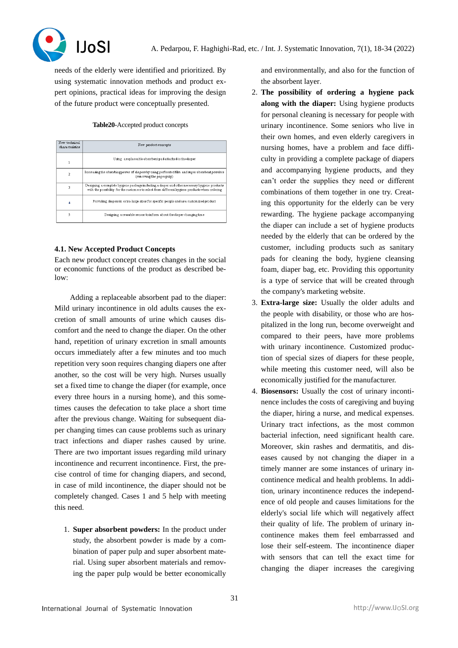

needs of the elderly were identified and prioritized. By using systematic innovation methods and product expert opinions, practical ideas for improving the design of the future product were conceptually presented .

## **Table20**-Accepted product concepts

| New technical<br>characteristics | New product concepts                                                                                                                                                                           |
|----------------------------------|------------------------------------------------------------------------------------------------------------------------------------------------------------------------------------------------|
|                                  | Using a replaceable absorbent pad attached to the diaper                                                                                                                                       |
| $\overline{\mathbf{c}}$          | Increasing the absorbing power of diapers by using perforated film and super absorbent powders<br>(rem oving the paper pulp)                                                                   |
| 3                                | Designing a complete hygiene package including a diaper and other necessary hygiene products<br>with the possibility for the customers to select from different hygiene products when ordering |
| 4                                | Providing diapers in extra-large sizes for specific people and as a customized product                                                                                                         |
|                                  | Designing a reusable sensor to inform about the diaper changing time                                                                                                                           |

# **4.1. New Accepted Product Concepts**

Each new product concept creates changes in the social or economic functions of the product as described below:

Adding a replaceable absorbent pad to the diaper: Mild urinary incontinence in old adults causes the excretion of small amounts of urine which causes discomfort and the need to change the diaper. On the other hand, repetition of urinary excretion in small amounts occurs immediately after a few minutes and too much repetition very soon requires changing diapers one after another, so the cost will be very high. Nurses usually set a fixed time to change the diaper (for example, once every three hours in a nursing home), and this sometimes causes the defecation to take place a short time after the previous change. Waiting for subsequent diaper changing times can cause problems such as urinary tract infections and diaper rashes caused by urine. There are two important issues regarding mild urinary incontinence and recurrent incontinence. First, the precise control of time for changing diapers, and second, in case of mild incontinence, the diaper should not be completely changed. Cases 1 and 5 help with meeting this need.

1. **Super absorbent powders:** In the product under study, the absorbent powder is made by a combination of paper pulp and super absorbent material. Using super absorbent materials and removing the paper pulp would be better economically and environmentally, and also for the function of the absorbent layer.

- 2. **The possibility of ordering a hygiene pack along with the diaper:** Using hygiene products for personal cleaning is necessary for people with urinary incontinence. Some seniors who live in their own homes, and even elderly caregivers in nursing homes, have a problem and face difficulty in providing a complete package of diapers and accompanying hygiene products, and they can't order the supplies they need or different combinations of them together in one try. Creating this opportunity for the elderly can be very rewarding. The hygiene package accompanying the diaper can include a set of hygiene products needed by the elderly that can be ordered by the customer, including products such as sanitary pads for cleaning the body, hygiene cleansing foam, diaper bag, etc. Providing this opportunity is a type of service that will be created through the company's marketing website .
- 3. **Extra-large size:** Usually the older adults and the people with disability, or those who are hospitalized in the long run, become overweight and compared to their peers, have more problems with urinary incontinence. Customized production of special sizes of diapers for these people, while meeting this customer need, will also be economically justified for the manufacturer.
- 4. **Biosensors:** Usually the cost of urinary incontinence includes the costs of caregiving and buying the diaper, hiring a nurse, and medical expenses. Urinary tract infections, as the most common bacterial infection, need significant health care. Moreover, skin rashes and dermatitis, and diseases caused by not changing the diaper in a timely manner are some instances of urinary incontinence medical and health problems. In addition, urinary incontinence reduces the independence of old people and causes limitations for the elderly's social life which will negatively affect their quality of life. The problem of urinary incontinence makes them feel embarrassed and lose their self-esteem. The incontinence diaper with sensors that can tell the exact time for changing the diaper increases the caregiving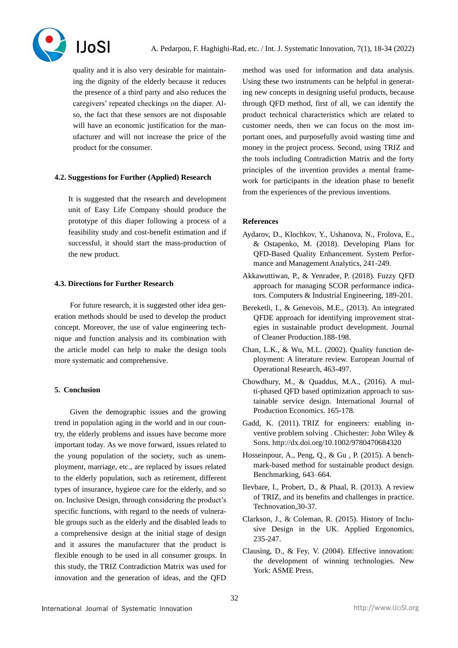

quality and it is also very desirable for maintaining the dignity of the elderly because it reduces the presence of a third party and also reduces the caregivers' repeated checkings on the diaper. Also, the fact that these sensors are not disposable will have an economic justification for the manufacturer and will not increase the price of the product for the consumer.

# **4.2. Suggestions for Further (Applied) Research**

It is suggested that the research and development unit of Easy Life Company should produce the prototype of this diaper following a process of a feasibility study and cost-benefit estimation and if successful, it should start the mass-production of the new product.

# **4.3. Directions for Further Research**

For future research, it is suggested other idea generation methods should be used to develop the product concept. Moreover, the use of value engineering technique and function analysis and its combination with the article model can help to make the design tools more systematic and comprehensive.

# **5. Conclusion**

Given the demographic issues and the growing trend in population aging in the world and in our country, the elderly problems and issues have become more important today. As we move forward, issues related to the young population of the society, such as unemployment, marriage, etc., are replaced by issues related to the elderly population, such as retirement, different types of insurance, hygiene care for the elderly, and so on. Inclusive Design, through considering the product's specific functions, with regard to the needs of vulnerable groups such as the elderly and the disabled leads to a comprehensive design at the initial stage of design and it assures the manufacturer that the product is flexible enough to be used in all consumer groups. In this study, the TRIZ Contradiction Matrix was used for innovation and the generation of ideas, and the QFD

method was used for information and data analysis. Using these two instruments can be helpful in generating new concepts in designing useful products, because through QFD method, first of all, we can identify the product technical characteristics which are related to customer needs, then we can focus on the most important ones, and purposefully avoid wasting time and money in the project process. Second, using TRIZ and the tools including Contradiction Matrix and the forty principles of the invention provides a mental framework for participants in the ideation phase to benefit from the experiences of the previous inventions .

# **References**

- Aydarov, D., Klochkov, Y., Ushanova, N., Frolova, E., & Ostapenko, M. (2018). Developing Plans for QFD-Based Quality Enhancement. System Performance and Management Analytics, 241-249.
- Akkawuttiwan, P., & Yenradee, P. (2018). Fuzzy QFD approach for managing SCOR performance indicators. Computers & Industrial Engineering, 189-201.
- Bereketli, I., & Genevois, M.E., (2013). An integrated QFDE approach for identifying improvement strategies in sustainable product development. Journal of Cleaner Production.188-198.
- Chan, L.K., & Wu, M.L. (2002). Quality function deployment: A literature review. European Journal of Operational Research, 463-497.
- Chowdhury, M., & Quaddus, M.A., (2016). A multi-phased QFD based optimization approach to sustainable service design. International Journal of Production Economics. 165-178.
- Gadd, K. (2011). TRIZ for engineers: enabling inventive problem solving . Chichester: John Wiley & Sons.<http://dx.doi.org/10.1002/9780470684320>
- Hosseinpour, A., Peng, Q., & Gu , P. (2015). A benchmark-based method for sustainable product design. Benchmarking, 643–664.
- Ilevbare, I., Probert, D., & Phaal, R. (2013). A review of TRIZ, and its benefits and challenges in practice. Technovation,30-37.
- Clarkson, J., & Coleman, R. (2015). History of Inclusive Design in the UK. Applied Ergonomics, 235-247.
- Clausing, D., & Fey, V. (2004). Effective innovation: the development of winning technologies. New York: ASME Press.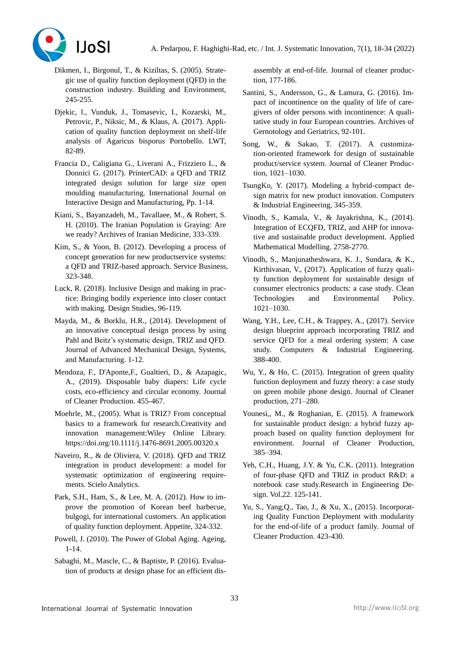

- Dikmen, I., Birgonul, T., & Kiziltas, S. (2005). Strategic use of quality function deployment (QFD) in the construction industry. Building and Environment, 245-255.
- Djekic, l., Vunduk, J., Tomasevic, I., Kozarski, M., Petrovic, P., Niksic, M., & Klaus, A. (2017). Application of quality function deployment on shelf-life analysis of Agaricus bisporus Portobello. LWT, 82-89.
- Francia D., Caligiana G., Liverani A., Frizziero L., & Donnici G. (2017). PrinterCAD: a QFD and TRIZ integrated design solution for large size open moulding manufacturing. International Journal on Interactive Design and Manufacturing, Pp. 1-14.
- Kiani, S., Bayanzadeh, M., Tavallaee, M., & Robert, S. H. (2010). The Iranian Population is Graying: Are we ready? Archives of Iranian Medicine, 333-339.
- Kim, S., & Yoon, B. (2012). Developing a process of concept generation for new productservice systems: a QFD and TRIZ-based approach. Service Business, 323-348.
- Luck, R. (2018). Inclusive Design and making in practice: Bringing bodily experience into closer contact with making. Design Studies, 96-119.
- Mayda, M., & Borklu, H.R., (2014). Development of an innovative conceptual design process by using Pahl and Beitz's systematic design, TRIZ and QFD. Journal of Advanced Mechanical Design, Systems, and Manufacturing. 1-12.
- Mendoza, F., D'Aponte,F., Gualtieri, D., & Azapagic, A., (2019). Disposable baby diapers: Life cycle costs, eco-efficiency and circular economy. Journal of Cleaner Production. 455-467.
- Moehrle, M., (2005). What is TRIZ? From conceptual basics to a framework for research.Creativity and innovation management:Wiley Online Library. <https://doi.org/10.1111/j.1476-8691.2005.00320.x>
- Naveiro, R., & de Oliviera, V. (2018). QFD and TRIZ integration in product development: a model for systematic optimization of engineering requirements. Scielo Analytics.
- Park, S.H., Ham, S., & Lee, M. A. (2012). How to improve the promotion of Korean beef barbecue, bulgogi, for international customers. An application of quality function deployment. Appetite, 324-332.
- Powell, J. (2010). The Power of Global Aging. Ageing, 1-14.
- Sabaghi, M., Mascle, C., & Baptiste, P. (2016). Evaluation of products at design phase for an efficient dis-

assembly at end-of-life. Journal of cleaner production, 177-186.

- Santini, S., Andersson, G., & Lamura, G. (2016). Impact of incontinence on the quality of life of caregivers of older persons with incontinence: A qualitative study in four European countries. Archives of Gernotology and Geriatrics, 92-101.
- Song, W., & Sakao, T. (2017). A customization-oriented framework for design of sustainable product/service system. Journal of Cleaner Production, 1021–1030.
- TsungKo, Y. (2017). Modeling a hybrid-compact design matrix for new product innovation. Computers & Industrial Engineering, 345-359.
- Vinodh, S., Kamala, V., & Jayakrishna, K., (2014). Integration of ECQFD, TRIZ, and AHP for innovative and sustainable product development. Applied Mathematical Modelling. 2758-2770.
- Vinodh, S., Manjunatheshwara, K. J., Sundara, & K., Kirthivasan, V., (2017). Application of fuzzy quality function deployment for sustainable design of consumer electronics products: a case study. Clean Technologies and Environmental Policy. 1021–1030.
- Wang, Y.H., Lee, C.H., & Trappey, A., (2017). Service design blueprint approach incorporating TRIZ and service QFD for a meal ordering system: A case study. Computers & Industrial Engineering. 388-400.
- Wu, Y., & Ho, C. (2015). Integration of green quality function deployment and fuzzy theory: a case study on green mobile phone design. Journal of Cleaner production, 271–280.
- Younesi,, M., & Roghanian, E. (2015). A framework for sustainable product design: a hybrid fuzzy approach based on quality function deployment for environment. Journal of Cleaner Production, 385–394.
- Yeh, C.H., Huang, J.Y. & Yu, C.K. (2011). Integration of four-phase QFD and TRIZ in product R&D: a notebook case study.Research in Engineering Design. Vol.22. 125-141.
- Yu, S., Yang,Q., Tao, J., & Xu, X., (2015). Incorporating Quality Function Deployment with modularity for the end-of-life of a product family. Journal of Cleaner Production. 423-430.